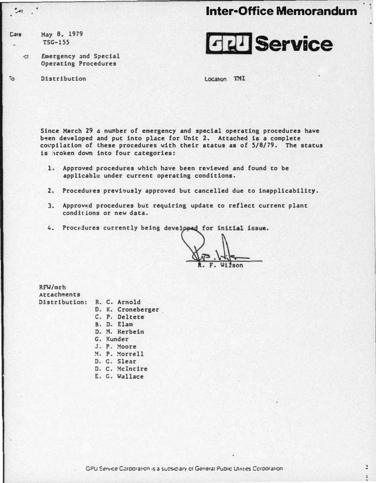# **Inter-Office Memorandum**

z

May 8, 1979 **Cale**  $TSG-155$ 

 $To$ 

Emergency and Special  $\mathbb{Z}^*$ **Operating Procedures** 

Distribution

**FELI** Service

Location TMI

Since March 29 a number of emergency and special operating procedures have been developed and put into place for Unit 2. Attached is a complete compilation of these procedures with their status as of 5/8/79. The status is broken down into four categories:

- 1. Approved procedures which have been reviewed and found to be applicable under current operating conditions.
- 2. Procedures previously approved but cancelled due to inapplicability.
- 3. Approved procedures but requiring update to reflect current plant conditions or new data.
- 4. Procedures currently being developed for initial issue.

RFW/mrh Attachments Distribution:

- R. C. Arnold
- D. K. Croneberger
- C. P. Deltete
- B. D. Elam
- D. M. Herbein
- G. Kunder
- J. P. Moore
- M. P. Morrell
- D. C. Slear
- D. C. McIncire
- E. G. Wallace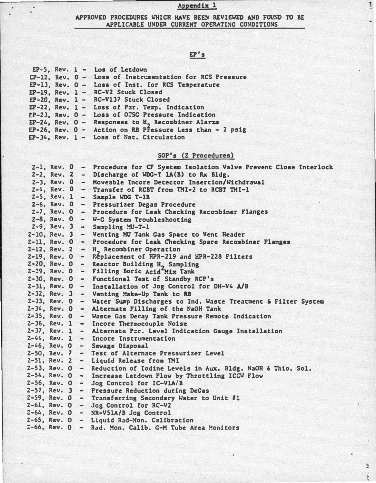1

÷,  $\frac{1}{2}$ 

### APPROVED PROCEDURES WHICH HAVE BEEN REVIEWED AND FOUND TO BE APPLICABLE UNDER CURRENT OPERATING CONDITIONS

 $E_{P-5}$ ,  $\kappa$ ev.  $1 -$  Los of Letdown

EP-12, Rev. 0- Loss of Instrumentation for RCS· Pressure

EP's

| $EP-13$ , Rev. $0 -$ | Loss of Inst. for RCS Temperature                                             |
|----------------------|-------------------------------------------------------------------------------|
|                      | EP-19, Rev. 1 - RC-V2 Stuck Closed                                            |
|                      | $EP-20$ , Rev. 1 - RC-V137 Stuck Closed                                       |
|                      | EP-22, Rev. 1 - Loss of Pzr. Temp. Indication                                 |
|                      | EP-23, Rev. 0 - Loss of OTSG Pressure Indication                              |
|                      | EP-24, Rev. 0 - Responses to H, Recombiner Alarms                             |
|                      | EP-26, Rev. 0 - Action on RB Pressure Less than - 2 psig                      |
|                      | EP-34, Rev. 1 - Loss of Nat. Circulation                                      |
|                      |                                                                               |
|                      | SOP's (Z Procedures)                                                          |
|                      | 2-1, Rev. 0 - Procedure for CF System Isolation Valve Prevent Close Interlock |
|                      | 2-2, Rev. 2 - Discharge of WDG-T 1A(B) to Rx Bldg.                            |
|                      | 2-3, Rev. 0 - Moveable Incore Detector Insertion/Withdrawal                   |
|                      | 2-4, Rev. 0 - Transfer of RCBT from TMI-2 to RCBT TMI-1                       |
|                      | 2-5, Rev. 1 - Sample WDG T-1B                                                 |
|                      | 2-6, Rev. 0 - Pressurizer Degas Procedure                                     |
|                      |                                                                               |
|                      | 2-7, Rev. 0 - Procedure for Leak Checking Recombiner Flanges                  |
|                      | 2-8, Rev. 0 - W-G System Troubleshooting                                      |
|                      | $2-9$ , Rev. $3 -$ Sampling $MJ-T-1$                                          |
| $2-10$ , Rev. 3      | - Venting MU Tank Gas Space to Vent Header                                    |
|                      | 2-11, Rev. 0 - Procedure for Leak Checking Spare Recombiner Flanges           |
| $2-12$ , Rev. 2      | - H, Recombiner Operation                                                     |
|                      | 2-19, Rev. 0 - Réplacement of HPR-219 and HPR-228 Filters                     |
|                      | 2-20, Rev. 0 - Reactor Building H, Sampling                                   |
|                      | 2-29, Rev. 0 - Filling Boric Acid Mix Tank                                    |
|                      | 2-30, Rev. 0 - Functional Test of Standby RCP's                               |
|                      | 2-31, Rev. 0 - Installation of Jog Control for DH-V4 A/B                      |
|                      | 2-32, Rev. 3 - Venting Make-Up Tank to RB                                     |
| $2 - 33$ , Rev. 0    | - Water Sump Discharges to Ind. Waste Treatment & Filter System               |
|                      | 2-34, Rev. 0 - Alternate Filling of the NaOH Tank                             |
|                      | 2-35, Rev. 0 - Waste Gas Decay Tank Pressure Remote Indication                |
|                      | 2-36, Rev. 1 - Incore Thermocouple Noise                                      |
|                      | 2-37, Rev. 1 - Alternate Pzr. Level Indication Gauge Installation             |
| $2-44.$ Rev. 1       | - Incore Instrumentation                                                      |
|                      | 2-46, Rev. 0 - Sewage Disposal                                                |
| $2-50$ , Rev. 7      | - Test of Alternate Pressurizer Level                                         |
| $2-51.$ Rev. 2       | - Liquid Release from TMI                                                     |
| $2-53$ , Rev. 0      | - Reduction of Iodine Levels in Aux. Bldg. NaOH & Thio. Sol.                  |
| $2-54$ , Rev. 0      | - Increase Letdown Flow by Throttling ICCW Flow                               |
| $2-56$ , Rev. 0 -    | Jog Control for IC-VLA/B                                                      |
| $2-57$ , Rev. 3      | - Pressure Reduction during DeGas                                             |
|                      | 2-59, Rev. 0 - Transferring Secondary Water to Unit #1                        |
|                      | $2-61$ , Rev. $0 -$ Jog Control for RC-V2                                     |
|                      |                                                                               |
|                      | $2-64$ , Rev. O - NR-V51A/B Jog Control                                       |
|                      | 2-65, Rev. 0 - Liquid Rad-Mon. Calibration                                    |
|                      | 2-66, Rev. O - Rad. Mon. Calib. G-M Tube Area Monitors                        |
|                      |                                                                               |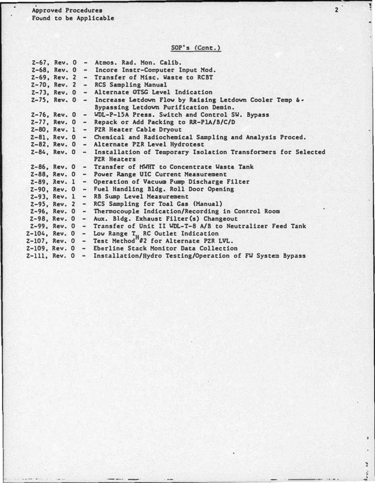<sup>A</sup>pproved Procedures Found to be Applicable

SOP's (Cont.)

 $2^{\degree}$ 

• ....

ž,

×

|  |  | Z-67, Rev. 0 - Atmos. Rad. Mon. Calib.                                                                                     |
|--|--|----------------------------------------------------------------------------------------------------------------------------|
|  |  | 2-68, Rev. 0 - Incore Instr-Computer Input Mod.                                                                            |
|  |  | 2-69, Rev. 2 - Transfer of Misc. Waste to RCBT                                                                             |
|  |  | 2-70, Rev. 2 - RCS Sampling Manual                                                                                         |
|  |  | Z-73, Rev. 0 - Alternate OTSG Level Indication                                                                             |
|  |  |                                                                                                                            |
|  |  | $2-75$ , Rev. 0 - Increase Letdown Flow by Raising Letdown Cooler Temp $\delta$ .<br>Bypassing Letdown Purification Demin. |
|  |  | Z-76, Rev. 0 - WDL-P-15A Press. Switch and Control SW. Bypass                                                              |
|  |  | $Z-77$ , Rev. 0 - Repack or Add Packing to RR-PlA/B/C/D                                                                    |
|  |  | 2-80, Rev. 1 - PZR Heater Cable Dryout                                                                                     |
|  |  | Z-81, Rev. 0 - Chemical and Radiochemical Sampling and Analysis Proced.                                                    |
|  |  | Z-82, Rev. 0 - Alternate PZR Level Hydrotest                                                                               |
|  |  | 2-84, Rev. 0 - Installation of Temporary Isolation Transformers for Selected<br><b>PZR Heaters</b>                         |
|  |  | Z-86, Rev. 0 - Transfer of MWHT to Concentrate Waste Tank                                                                  |
|  |  | 2-88, Rev. 0 - Power Range UIC Current Measurement                                                                         |
|  |  | Z-89, Rev. 1 - Operation of Vacuum Pump Discharge Filter                                                                   |
|  |  | Z-90, Rev. 0 - Fuel Handling Bldg. Roll Door Opening                                                                       |
|  |  | 2-93, Rev. 1 - RB Sump Level Measurement                                                                                   |
|  |  | 2-95, Rev. 2 - RCS Sampling for Toal Gas (Manual)                                                                          |
|  |  | 2-96, Rev. 0 - Thermocouple Indication/Recording in Control Room                                                           |
|  |  | $Z-98$ , Rev. 0 - Aux. Bldg. Exhaust Filter(s) Changeout                                                                   |
|  |  | Z-99, Rev. 0 - Transfer of Unit II WDL-T-8 A/B to Neutralizer Feed Tank                                                    |
|  |  | Z-104, Rev. 0 - Low Range T <sub>u</sub> RC Outlet Indication                                                              |
|  |  | $Z-107$ , Rev. $0 - Test$ Method <sup>n</sup> #2 for Alternate PZR LVL.                                                    |
|  |  | Z-109, Rev. 0 - Eberline Stack Monitor Data Collection                                                                     |
|  |  | Z-111, Rev. O - Installation/Hydro Testing/Operation of FW System Bypass                                                   |
|  |  |                                                                                                                            |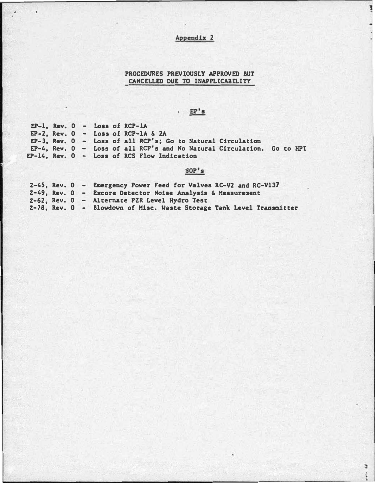1

 $\overline{\phantom{a}}$ 

F ratio

### PROCEDURES PREVIOUSLY APPROVED BUT CANCELLED DUE TO INAPPLICABILITY

# $\cdot$  EP's

EP-1, Rev. 0 - Loss of RCP-lA  $EP-2$ , Rev.  $0 - Loss$  of RCP-1A & 2A EP-3, Rev. 0 - Loss of all RCP's; Go to Natural Circulation EP-4, Rev. 0 - Loss of all RCP's and No Natural Circulation. Go to HPI EP-14, Rev. 0 - Loss of RCS Flow Indication

### $SOP's$

|  | Z-45, Rev. 0 - Emergency Power Feed for Valves RC-V2 and RC-V137      |
|--|-----------------------------------------------------------------------|
|  | $2-49$ , Rev. $0 -$ Excore Detector Noise Analysis & Measurement      |
|  | 2-62. Rev. 0 - Alternate PZR Level Hydro Test                         |
|  | 2-78, Rev. 0 - Blowdown of Misc. Waste Storage Tank Level Transmitter |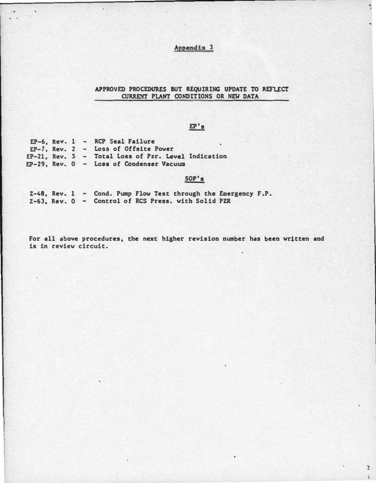$\ddot{.}$ 

 $\ddot{z}$  $\ddot{\ast}$ 

#### APPROVED **CURREYT** PROCEDURES BUT REQUIRING UPDATE TO REFLECT PLANT CONDITIONS OR NEll DATA

# $E^{\dagger}$ s

|  |  | $EP-6$ , Rev. 1 - RCP Seal Failure                  |  |
|--|--|-----------------------------------------------------|--|
|  |  | $EP-7$ . Rev. 2 - Loss of Offsite Power             |  |
|  |  | EP-21, Rev. 5 - Total Loss of Pzr. Level Indication |  |
|  |  | EP-29, Rev. 0 - Loss of Condenser Vacuum            |  |

 $\blacksquare$  .

### SOP's

|  |  | $2-48$ , Rev. 1 - Cond. Pump Flow Test through the Emergency F.P. |  |
|--|--|-------------------------------------------------------------------|--|
|  |  | Z-63, Rev. 0 - Control of RCS Press. with Solid PZR               |  |

For all above procedures, the next higher revision number has been vr�tten and is in review circuit.